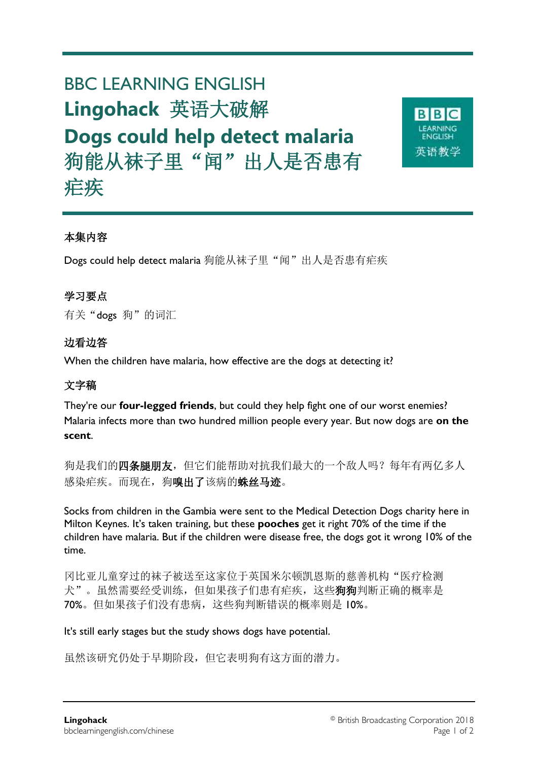# BBC LEARNING ENGLISH **Lingohack** 英语大破解 **Dogs could help detect malaria** 狗能从袜子里"闻"出人是否患有 疟疾

本集内容

Dogs could help detect malaria 狗能从袜子里"闻"出人是否患有疟疾

# 学习要点

有关"dogs狗"的词汇

## 边看边答

When the children have malaria, how effective are the dogs at detecting it?

# 文字稿

They're our **four-legged friends**, but could they help fight one of our worst enemies? Malaria infects more than two hundred million people every year. But now dogs are **on the scent**.

狗是我们的四条腿朋友,但它们能帮助对抗我们最大的一个敌人吗?每年有两亿多人 感染疟疾。而现在,狗嗅出了该病的蛛丝马迹。

Socks from children in the Gambia were sent to the Medical Detection Dogs charity here in Milton Keynes. It's taken training, but these **pooches** get it right 70% of the time if the children have malaria. But if the children were disease free, the dogs got it wrong 10% of the time.

冈比亚儿童穿过的袜子被送至这家位于英国米尔顿凯恩斯的慈善机构"医疗检测 犬"。虽然需要经受训练,但如果孩子们患有疟疾,这些狗狗判断正确的概率是 70%。但如果孩子们没有患病,这些狗判断错误的概率则是 10%。

It's still early stages but the study shows dogs have potential.

虽然该研究仍处于早期阶段,但它表明狗有这方面的潜力。